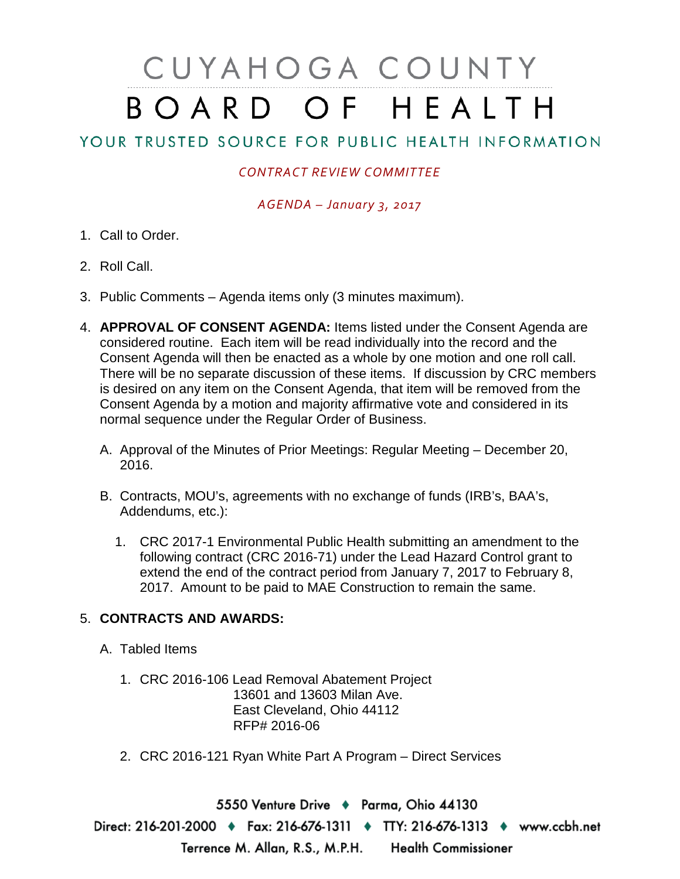# CUYAHOGA COUNTY BOARD OF HEALTH

# YOUR TRUSTED SOURCE FOR PUBLIC HEALTH INFORMATION

### *CONTRACT REVIEW COMMITTEE*

*AGENDA – January 3, 2017*

- 1. Call to Order.
- 2. Roll Call.
- 3. Public Comments Agenda items only (3 minutes maximum).
- 4. **APPROVAL OF CONSENT AGENDA:** Items listed under the Consent Agenda are considered routine. Each item will be read individually into the record and the Consent Agenda will then be enacted as a whole by one motion and one roll call. There will be no separate discussion of these items. If discussion by CRC members is desired on any item on the Consent Agenda, that item will be removed from the Consent Agenda by a motion and majority affirmative vote and considered in its normal sequence under the Regular Order of Business.
	- A. Approval of the Minutes of Prior Meetings: Regular Meeting December 20, 2016.
	- B. Contracts, MOU's, agreements with no exchange of funds (IRB's, BAA's, Addendums, etc.):
		- 1. CRC 2017-1 Environmental Public Health submitting an amendment to the following contract (CRC 2016-71) under the Lead Hazard Control grant to extend the end of the contract period from January 7, 2017 to February 8, 2017. Amount to be paid to MAE Construction to remain the same.

## 5. **CONTRACTS AND AWARDS:**

- A. Tabled Items
	- 1. CRC 2016-106 Lead Removal Abatement Project 13601 and 13603 Milan Ave. East Cleveland, Ohio 44112 RFP# 2016-06
	- 2. CRC 2016-121 Ryan White Part A Program Direct Services

5550 Venture Drive + Parma, Ohio 44130 Direct: 216-201-2000 • Fax: 216-676-1311 • TTY: 216-676-1313 • www.ccbh.net Terrence M. Allan, R.S., M.P.H. Health Commissioner